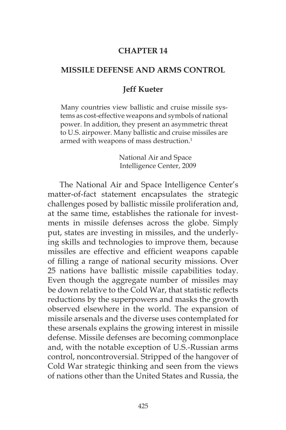#### **CHAPTER 14**

#### **MISSILE DEFENSE AND ARMS CONTROL**

#### **Jeff Kueter**

Many countries view ballistic and cruise missile systems as cost-effective weapons and symbols of national power. In addition, they present an asymmetric threat to U.S. airpower. Many ballistic and cruise missiles are armed with weapons of mass destruction.<sup>1</sup>

> National Air and Space Intelligence Center, 2009

The National Air and Space Intelligence Center's matter-of-fact statement encapsulates the strategic challenges posed by ballistic missile proliferation and, at the same time, establishes the rationale for investments in missile defenses across the globe. Simply put, states are investing in missiles, and the underlying skills and technologies to improve them, because missiles are effective and efficient weapons capable of filling a range of national security missions. Over 25 nations have ballistic missile capabilities today. Even though the aggregate number of missiles may be down relative to the Cold War, that statistic reflects reductions by the superpowers and masks the growth observed elsewhere in the world. The expansion of missile arsenals and the diverse uses contemplated for these arsenals explains the growing interest in missile defense. Missile defenses are becoming commonplace and, with the notable exception of U.S.-Russian arms control, noncontroversial. Stripped of the hangover of Cold War strategic thinking and seen from the views of nations other than the United States and Russia, the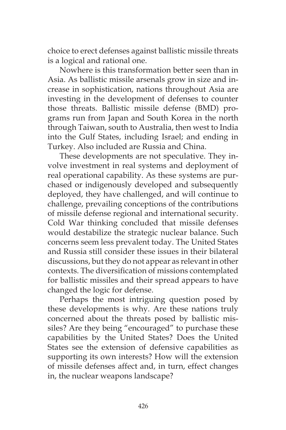choice to erect defenses against ballistic missile threats is a logical and rational one.

Nowhere is this transformation better seen than in Asia. As ballistic missile arsenals grow in size and increase in sophistication, nations throughout Asia are investing in the development of defenses to counter those threats. Ballistic missile defense (BMD) programs run from Japan and South Korea in the north through Taiwan, south to Australia, then west to India into the Gulf States, including Israel; and ending in Turkey. Also included are Russia and China.

These developments are not speculative. They involve investment in real systems and deployment of real operational capability. As these systems are purchased or indigenously developed and subsequently deployed, they have challenged, and will continue to challenge, prevailing conceptions of the contributions of missile defense regional and international security. Cold War thinking concluded that missile defenses would destabilize the strategic nuclear balance. Such concerns seem less prevalent today. The United States and Russia still consider these issues in their bilateral discussions, but they do not appear as relevant in other contexts. The diversification of missions contemplated for ballistic missiles and their spread appears to have changed the logic for defense.

Perhaps the most intriguing question posed by these developments is why. Are these nations truly concerned about the threats posed by ballistic missiles? Are they being "encouraged" to purchase these capabilities by the United States? Does the United States see the extension of defensive capabilities as supporting its own interests? How will the extension of missile defenses affect and, in turn, effect changes in, the nuclear weapons landscape?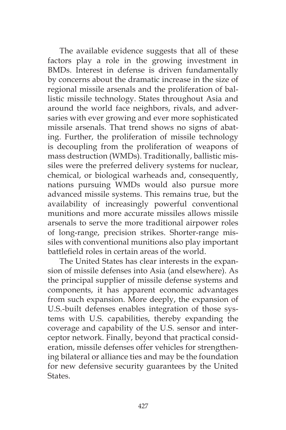The available evidence suggests that all of these factors play a role in the growing investment in BMDs. Interest in defense is driven fundamentally by concerns about the dramatic increase in the size of regional missile arsenals and the proliferation of ballistic missile technology. States throughout Asia and around the world face neighbors, rivals, and adversaries with ever growing and ever more sophisticated missile arsenals. That trend shows no signs of abating. Further, the proliferation of missile technology is decoupling from the proliferation of weapons of mass destruction (WMDs). Traditionally, ballistic missiles were the preferred delivery systems for nuclear, chemical, or biological warheads and, consequently, nations pursuing WMDs would also pursue more advanced missile systems. This remains true, but the availability of increasingly powerful conventional munitions and more accurate missiles allows missile arsenals to serve the more traditional airpower roles of long-range, precision strikes. Shorter-range missiles with conventional munitions also play important battlefield roles in certain areas of the world.

The United States has clear interests in the expansion of missile defenses into Asia (and elsewhere). As the principal supplier of missile defense systems and components, it has apparent economic advantages from such expansion. More deeply, the expansion of U.S.-built defenses enables integration of those systems with U.S. capabilities, thereby expanding the coverage and capability of the U.S. sensor and interceptor network. Finally, beyond that practical consideration, missile defenses offer vehicles for strengthening bilateral or alliance ties and may be the foundation for new defensive security guarantees by the United **States**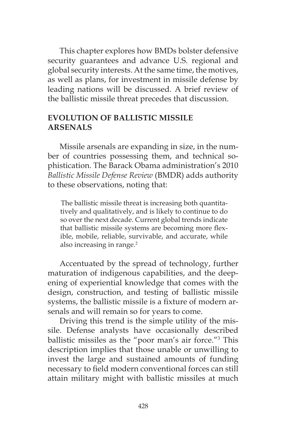This chapter explores how BMDs bolster defensive security guarantees and advance U.S. regional and global security interests. At the same time, the motives, as well as plans, for investment in missile defense by leading nations will be discussed. A brief review of the ballistic missile threat precedes that discussion.

### **EVOLUTION OF BALLISTIC MISSILE ARSENALS**

Missile arsenals are expanding in size, in the number of countries possessing them, and technical sophistication. The Barack Obama administration's 2010 *Ballistic Missile Defense Review* (BMDR) adds authority to these observations, noting that:

The ballistic missile threat is increasing both quantitatively and qualitatively, and is likely to continue to do so over the next decade. Current global trends indicate that ballistic missile systems are becoming more flexible, mobile, reliable, survivable, and accurate, while also increasing in range.<sup>2</sup>

Accentuated by the spread of technology, further maturation of indigenous capabilities, and the deepening of experiential knowledge that comes with the design, construction, and testing of ballistic missile systems, the ballistic missile is a fixture of modern arsenals and will remain so for years to come.

Driving this trend is the simple utility of the missile. Defense analysts have occasionally described ballistic missiles as the "poor man's air force."3 This description implies that those unable or unwilling to invest the large and sustained amounts of funding necessary to field modern conventional forces can still attain military might with ballistic missiles at much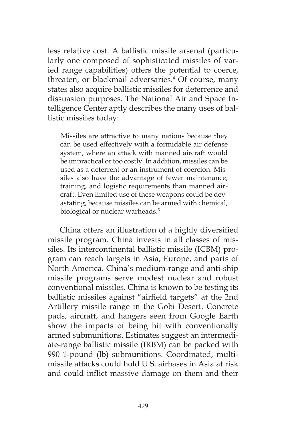less relative cost. A ballistic missile arsenal (particularly one composed of sophisticated missiles of varied range capabilities) offers the potential to coerce, threaten, or blackmail adversaries.4 Of course, many states also acquire ballistic missiles for deterrence and dissuasion purposes. The National Air and Space Intelligence Center aptly describes the many uses of ballistic missiles today:

Missiles are attractive to many nations because they can be used effectively with a formidable air defense system, where an attack with manned aircraft would be impractical or too costly. In addition, missiles can be used as a deterrent or an instrument of coercion. Missiles also have the advantage of fewer maintenance, training, and logistic requirements than manned aircraft. Even limited use of these weapons could be devastating, because missiles can be armed with chemical, biological or nuclear warheads.<sup>5</sup>

China offers an illustration of a highly diversified missile program. China invests in all classes of missiles. Its intercontinental ballistic missile (ICBM) program can reach targets in Asia, Europe, and parts of North America. China's medium-range and anti-ship missile programs serve modest nuclear and robust conventional missiles. China is known to be testing its ballistic missiles against "airfield targets" at the 2nd Artillery missile range in the Gobi Desert. Concrete pads, aircraft, and hangers seen from Google Earth show the impacts of being hit with conventionally armed submunitions. Estimates suggest an intermediate-range ballistic missile (IRBM) can be packed with 990 1-pound (lb) submunitions. Coordinated, multimissile attacks could hold U.S. airbases in Asia at risk and could inflict massive damage on them and their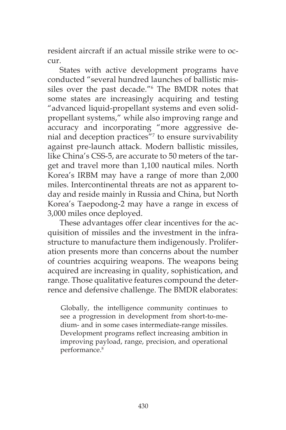resident aircraft if an actual missile strike were to occur.

States with active development programs have conducted "several hundred launches of ballistic missiles over the past decade."6 The BMDR notes that some states are increasingly acquiring and testing "advanced liquid-propellant systems and even solidpropellant systems," while also improving range and accuracy and incorporating "more aggressive denial and deception practices"<sup>7</sup> to ensure survivability against pre-launch attack. Modern ballistic missiles, like China's CSS-5, are accurate to 50 meters of the target and travel more than 1,100 nautical miles. North Korea's IRBM may have a range of more than 2,000 miles. Intercontinental threats are not as apparent today and reside mainly in Russia and China, but North Korea's Taepodong-2 may have a range in excess of 3,000 miles once deployed.

These advantages offer clear incentives for the acquisition of missiles and the investment in the infrastructure to manufacture them indigenously. Proliferation presents more than concerns about the number of countries acquiring weapons. The weapons being acquired are increasing in quality, sophistication, and range. Those qualitative features compound the deterrence and defensive challenge. The BMDR elaborates:

Globally, the intelligence community continues to see a progression in development from short-to-medium- and in some cases intermediate-range missiles. Development programs reflect increasing ambition in improving payload, range, precision, and operational performance.8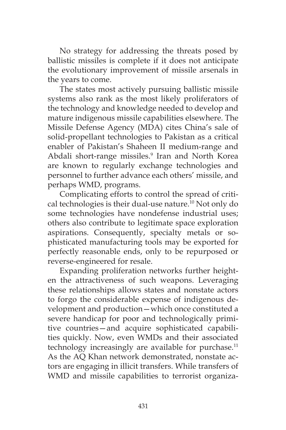No strategy for addressing the threats posed by ballistic missiles is complete if it does not anticipate the evolutionary improvement of missile arsenals in the years to come.

The states most actively pursuing ballistic missile systems also rank as the most likely proliferators of the technology and knowledge needed to develop and mature indigenous missile capabilities elsewhere. The Missile Defense Agency (MDA) cites China's sale of solid-propellant technologies to Pakistan as a critical enabler of Pakistan's Shaheen II medium-range and Abdali short-range missiles.<sup>9</sup> Iran and North Korea are known to regularly exchange technologies and personnel to further advance each others' missile, and perhaps WMD, programs.

Complicating efforts to control the spread of critical technologies is their dual-use nature.10 Not only do some technologies have nondefense industrial uses; others also contribute to legitimate space exploration aspirations. Consequently, specialty metals or sophisticated manufacturing tools may be exported for perfectly reasonable ends, only to be repurposed or reverse-engineered for resale.

Expanding proliferation networks further heighten the attractiveness of such weapons. Leveraging these relationships allows states and nonstate actors to forgo the considerable expense of indigenous development and production—which once constituted a severe handicap for poor and technologically primitive countries—and acquire sophisticated capabilities quickly. Now, even WMDs and their associated technology increasingly are available for purchase. $11$ As the AQ Khan network demonstrated, nonstate actors are engaging in illicit transfers. While transfers of WMD and missile capabilities to terrorist organiza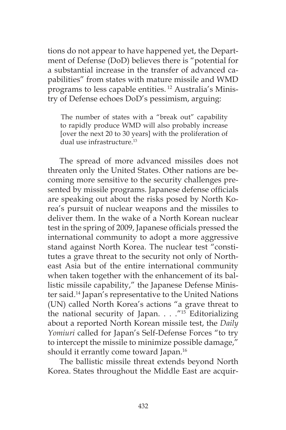tions do not appear to have happened yet, the Department of Defense (DoD) believes there is "potential for a substantial increase in the transfer of advanced capabilities" from states with mature missile and WMD programs to less capable entities. 12 Australia's Ministry of Defense echoes DoD's pessimism, arguing:

The number of states with a "break out" capability to rapidly produce WMD will also probably increase [over the next 20 to 30 years] with the proliferation of dual use infrastructure.13

The spread of more advanced missiles does not threaten only the United States. Other nations are becoming more sensitive to the security challenges presented by missile programs. Japanese defense officials are speaking out about the risks posed by North Korea's pursuit of nuclear weapons and the missiles to deliver them. In the wake of a North Korean nuclear test in the spring of 2009, Japanese officials pressed the international community to adopt a more aggressive stand against North Korea. The nuclear test "constitutes a grave threat to the security not only of Northeast Asia but of the entire international community when taken together with the enhancement of its ballistic missile capability," the Japanese Defense Minister said.14 Japan's representative to the United Nations (UN) called North Korea's actions "a grave threat to the national security of Japan.  $\ldots$  ."<sup>15</sup> Editorializing about a reported North Korean missile test, the *Daily Yomiuri* called for Japan's Self-Defense Forces "to try to intercept the missile to minimize possible damage," should it errantly come toward Japan.<sup>16</sup>

The ballistic missile threat extends beyond North Korea. States throughout the Middle East are acquir-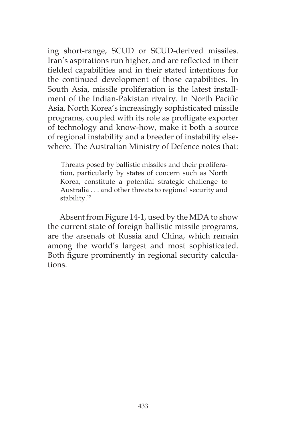ing short-range, SCUD or SCUD-derived missiles. Iran's aspirations run higher, and are reflected in their fielded capabilities and in their stated intentions for the continued development of those capabilities. In South Asia, missile proliferation is the latest installment of the Indian-Pakistan rivalry. In North Pacific Asia, North Korea's increasingly sophisticated missile programs, coupled with its role as profligate exporter of technology and know-how, make it both a source of regional instability and a breeder of instability elsewhere. The Australian Ministry of Defence notes that:

Threats posed by ballistic missiles and their proliferation, particularly by states of concern such as North Korea, constitute a potential strategic challenge to Australia . . . and other threats to regional security and stability.<sup>17</sup>

Absent from Figure 14-1, used by the MDA to show the current state of foreign ballistic missile programs, are the arsenals of Russia and China, which remain among the world's largest and most sophisticated. Both figure prominently in regional security calculations.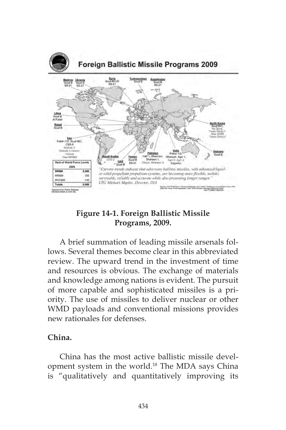

# **Figure 14-1. Foreign Ballistic Missile Programs, 2009.**

A brief summation of leading missile arsenals follows. Several themes become clear in this abbreviated review. The upward trend in the investment of time and resources is obvious. The exchange of materials and knowledge among nations is evident. The pursuit of more capable and sophisticated missiles is a priority. The use of missiles to deliver nuclear or other WMD payloads and conventional missions provides new rationales for defenses.

# **China.**

China has the most active ballistic missile development system in the world.18 The MDA says China is "qualitatively and quantitatively improving its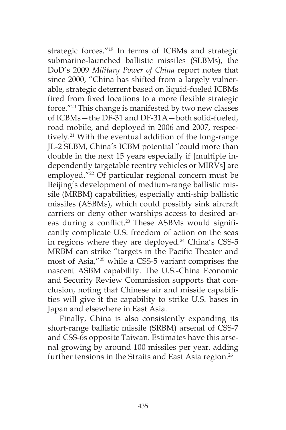strategic forces."19 In terms of ICBMs and strategic submarine-launched ballistic missiles (SLBMs), the DoD's 2009 *Military Power of China* report notes that since 2000, "China has shifted from a largely vulnerable, strategic deterrent based on liquid-fueled ICBMs fired from fixed locations to a more flexible strategic force."20 This change is manifested by two new classes of ICBMs—the DF-31 and DF-31A—both solid-fueled, road mobile, and deployed in 2006 and 2007, respectively.<sup>21</sup> With the eventual addition of the long-range JL-2 SLBM, China's ICBM potential "could more than double in the next 15 years especially if [multiple independently targetable reentry vehicles or MIRVs] are employed."<sup>22</sup> Of particular regional concern must be Beijing's development of medium-range ballistic missile (MRBM) capabilities, especially anti-ship ballistic missiles (ASBMs), which could possibly sink aircraft carriers or deny other warships access to desired areas during a conflict.<sup>23</sup> These ASBMs would significantly complicate U.S. freedom of action on the seas in regions where they are deployed.<sup>24</sup> China's CSS-5 MRBM can strike "targets in the Pacific Theater and most of Asia,"25 while a CSS-5 variant comprises the nascent ASBM capability. The U.S.-China Economic and Security Review Commission supports that conclusion, noting that Chinese air and missile capabilities will give it the capability to strike U.S. bases in Japan and elsewhere in East Asia.

Finally, China is also consistently expanding its short-range ballistic missile (SRBM) arsenal of CSS-7 and CSS-6s opposite Taiwan. Estimates have this arsenal growing by around 100 missiles per year, adding further tensions in the Straits and East Asia region.<sup>26</sup>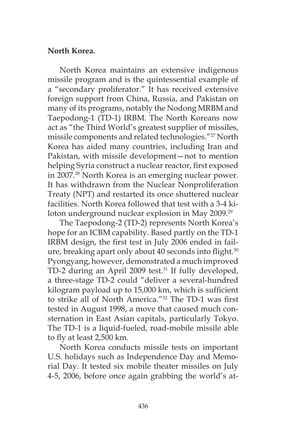### **North Korea.**

North Korea maintains an extensive indigenous missile program and is the quintessential example of a "secondary proliferator." It has received extensive foreign support from China, Russia, and Pakistan on many of its programs, notably the Nodong MRBM and Taepodong-1 (TD-1) IRBM. The North Koreans now act as "the Third World's greatest supplier of missiles, missile components and related technologies."27 North Korea has aided many countries, including Iran and Pakistan, with missile development—not to mention helping Syria construct a nuclear reactor, first exposed in 2007.<sup>28</sup> North Korea is an emerging nuclear power. It has withdrawn from the Nuclear Nonproliferation Treaty (NPT) and restarted its once shuttered nuclear facilities. North Korea followed that test with a 3-4 kiloton underground nuclear explosion in May 2009.<sup>29</sup>

The Taepodong-2 (TD-2) represents North Korea's hope for an ICBM capability. Based partly on the TD-1 IRBM design, the first test in July 2006 ended in failure, breaking apart only about 40 seconds into flight.<sup>30</sup> Pyongyang, however, demonstrated a much improved TD-2 during an April 2009 test.<sup>31</sup> If fully developed, a three-stage TD-2 could "deliver a several-hundred kilogram payload up to 15,000 km, which is sufficient to strike all of North America."32 The TD-1 was first tested in August 1998, a move that caused much consternation in East Asian capitals, particularly Tokyo. The TD-1 is a liquid-fueled, road-mobile missile able to fly at least 2,500 km.

North Korea conducts missile tests on important U.S. holidays such as Independence Day and Memorial Day. It tested six mobile theater missiles on July 4-5, 2006, before once again grabbing the world's at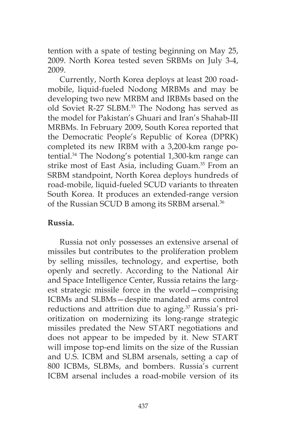tention with a spate of testing beginning on May 25, 2009. North Korea tested seven SRBMs on July 3-4, 2009.

Currently, North Korea deploys at least 200 roadmobile, liquid-fueled Nodong MRBMs and may be developing two new MRBM and IRBMs based on the old Soviet R-27 SLBM.<sup>33</sup> The Nodong has served as the model for Pakistan's Ghuari and Iran's Shahab-III MRBMs. In February 2009, South Korea reported that the Democratic People's Republic of Korea (DPRK) completed its new IRBM with a 3,200-km range potential.34 The Nodong's potential 1,300-km range can strike most of East Asia, including Guam.35 From an SRBM standpoint, North Korea deploys hundreds of road-mobile, liquid-fueled SCUD variants to threaten South Korea. It produces an extended-range version of the Russian SCUD B among its SRBM arsenal.<sup>36</sup>

# **Russia.**

Russia not only possesses an extensive arsenal of missiles but contributes to the proliferation problem by selling missiles, technology, and expertise, both openly and secretly. According to the National Air and Space Intelligence Center, Russia retains the largest strategic missile force in the world—comprising ICBMs and SLBMs—despite mandated arms control reductions and attrition due to aging.<sup>37</sup> Russia's prioritization on modernizing its long-range strategic missiles predated the New START negotiations and does not appear to be impeded by it. New START will impose top-end limits on the size of the Russian and U.S. ICBM and SLBM arsenals, setting a cap of 800 ICBMs, SLBMs, and bombers. Russia's current ICBM arsenal includes a road-mobile version of its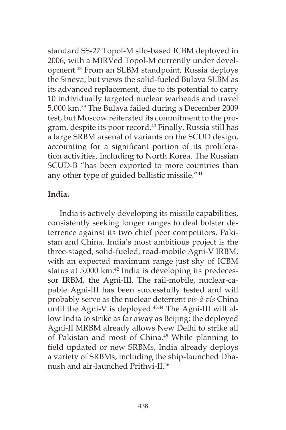standard SS-27 Topol-M silo-based ICBM deployed in 2006, with a MIRVed Topol-M currently under development.38 From an SLBM standpoint, Russia deploys the Sineva, but views the solid-fueled Bulava SLBM as its advanced replacement, due to its potential to carry 10 individually targeted nuclear warheads and travel 5,000 km.39 The Bulava failed during a December 2009 test, but Moscow reiterated its commitment to the program, despite its poor record.<sup>40</sup> Finally, Russia still has a large SRBM arsenal of variants on the SCUD design, accounting for a significant portion of its proliferation activities, including to North Korea. The Russian SCUD-B "has been exported to more countries than any other type of guided ballistic missile."<sup>41</sup>

## **India.**

India is actively developing its missile capabilities, consistently seeking longer ranges to deal bolster deterrence against its two chief peer competitors, Pakistan and China. India's most ambitious project is the three-staged, solid-fueled, road-mobile Agni-V IRBM, with an expected maximum range just shy of ICBM status at 5,000 km.<sup>42</sup> India is developing its predecessor IRBM, the Agni-III. The rail-mobile, nuclear-capable Agni-III has been successfully tested and will probably serve as the nuclear deterrent *vis-à-vis* China until the Agni-V is deployed.<sup>43,44</sup> The Agni-III will allow India to strike as far away as Beijing; the deployed Agni-II MRBM already allows New Delhi to strike all of Pakistan and most of China.<sup>45</sup> While planning to field updated or new SRBMs, India already deploys a variety of SRBMs, including the ship-launched Dhanush and air-launched Prithvi-II.46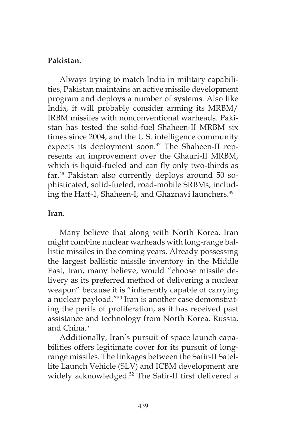### **Pakistan.**

Always trying to match India in military capabilities, Pakistan maintains an active missile development program and deploys a number of systems. Also like India, it will probably consider arming its MRBM/ IRBM missiles with nonconventional warheads. Pakistan has tested the solid-fuel Shaheen-II MRBM six times since 2004, and the U.S. intelligence community expects its deployment soon.<sup>47</sup> The Shaheen-II represents an improvement over the Ghauri-II MRBM, which is liquid-fueled and can fly only two-thirds as far.48 Pakistan also currently deploys around 50 sophisticated, solid-fueled, road-mobile SRBMs, including the Hatf-1, Shaheen-I, and Ghaznavi launchers.<sup>49</sup>

#### **Iran.**

Many believe that along with North Korea, Iran might combine nuclear warheads with long-range ballistic missiles in the coming years. Already possessing the largest ballistic missile inventory in the Middle East, Iran, many believe, would "choose missile delivery as its preferred method of delivering a nuclear weapon" because it is "inherently capable of carrying a nuclear payload."50 Iran is another case demonstrating the perils of proliferation, as it has received past assistance and technology from North Korea, Russia, and China $51$ 

Additionally, Iran's pursuit of space launch capabilities offers legitimate cover for its pursuit of longrange missiles. The linkages between the Safir-II Satellite Launch Vehicle (SLV) and ICBM development are widely acknowledged.<sup>52</sup> The Safir-II first delivered a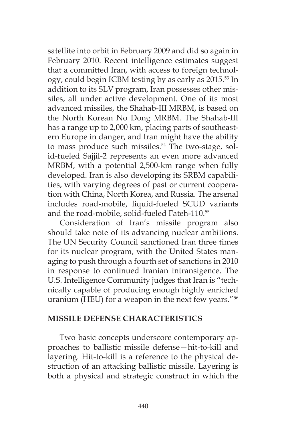satellite into orbit in February 2009 and did so again in February 2010. Recent intelligence estimates suggest that a committed Iran, with access to foreign technology, could begin ICBM testing by as early as 2015.53 In addition to its SLV program, Iran possesses other missiles, all under active development. One of its most advanced missiles, the Shahab-III MRBM, is based on the North Korean No Dong MRBM. The Shahab-III has a range up to 2,000 km, placing parts of southeastern Europe in danger, and Iran might have the ability to mass produce such missiles.<sup>54</sup> The two-stage, solid-fueled Sajjil-2 represents an even more advanced MRBM, with a potential 2,500-km range when fully developed. Iran is also developing its SRBM capabilities, with varying degrees of past or current cooperation with China, North Korea, and Russia. The arsenal includes road-mobile, liquid-fueled SCUD variants and the road-mobile, solid-fueled Fateh-110.<sup>55</sup>

Consideration of Iran's missile program also should take note of its advancing nuclear ambitions. The UN Security Council sanctioned Iran three times for its nuclear program, with the United States managing to push through a fourth set of sanctions in 2010 in response to continued Iranian intransigence. The U.S. Intelligence Community judges that Iran is "technically capable of producing enough highly enriched uranium (HEU) for a weapon in the next few years."56

#### **MISSILE DEFENSE CHARACTERISTICS**

Two basic concepts underscore contemporary approaches to ballistic missile defense—hit-to-kill and layering. Hit-to-kill is a reference to the physical destruction of an attacking ballistic missile. Layering is both a physical and strategic construct in which the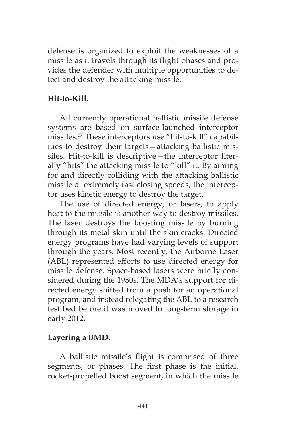defense is organized to exploit the weaknesses of a missile as it travels through its flight phases and provides the defender with multiple opportunities to detect and destroy the attacking missile.

## **Hit-to-Kill.**

All currently operational ballistic missile defense systems are based on surface-launched interceptor missiles.57 These interceptors use "hit-to-kill" capabilities to destroy their targets—attacking ballistic missiles. Hit-to-kill is descriptive—the interceptor literally "hits" the attacking missile to "kill" it. By aiming for and directly colliding with the attacking ballistic missile at extremely fast closing speeds, the interceptor uses kinetic energy to destroy the target.

The use of directed energy, or lasers, to apply heat to the missile is another way to destroy missiles. The laser destroys the boosting missile by burning through its metal skin until the skin cracks. Directed energy programs have had varying levels of support through the years. Most recently, the Airborne Laser (ABL) represented efforts to use directed energy for missile defense. Space-based lasers were briefly considered during the 1980s. The MDA's support for directed energy shifted from a push for an operational program, and instead relegating the ABL to a research test bed before it was moved to long-term storage in early 2012.

# **Layering a BMD.**

A ballistic missile's flight is comprised of three segments, or phases. The first phase is the initial, rocket-propelled boost segment, in which the missile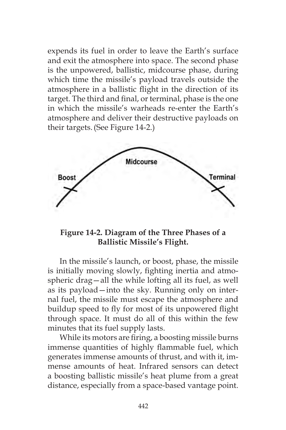expends its fuel in order to leave the Earth's surface and exit the atmosphere into space. The second phase is the unpowered, ballistic, midcourse phase, during which time the missile's payload travels outside the atmosphere in a ballistic flight in the direction of its target. The third and final, or terminal, phase is the one in which the missile's warheads re-enter the Earth's atmosphere and deliver their destructive payloads on their targets.(See Figure 14-2.)



**Figure 14-2. Diagram of the Three Phases of a Ballistic Missile's Flight.**

In the missile's launch, or boost, phase, the missile is initially moving slowly, fighting inertia and atmospheric drag—all the while lofting all its fuel, as well as its payload—into the sky. Running only on internal fuel, the missile must escape the atmosphere and buildup speed to fly for most of its unpowered flight through space. It must do all of this within the few minutes that its fuel supply lasts.

While its motors are firing, a boosting missile burns immense quantities of highly flammable fuel, which generates immense amounts of thrust, and with it, immense amounts of heat. Infrared sensors can detect a boosting ballistic missile's heat plume from a great distance, especially from a space-based vantage point.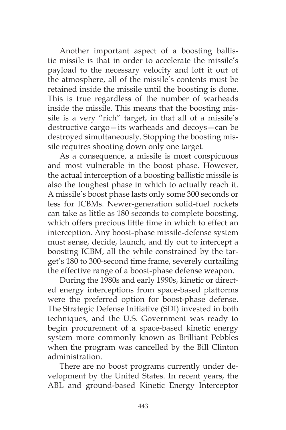Another important aspect of a boosting ballistic missile is that in order to accelerate the missile's payload to the necessary velocity and loft it out of the atmosphere, all of the missile's contents must be retained inside the missile until the boosting is done. This is true regardless of the number of warheads inside the missile. This means that the boosting missile is a very "rich" target, in that all of a missile's destructive cargo—its warheads and decoys—can be destroyed simultaneously. Stopping the boosting missile requires shooting down only one target.

As a consequence, a missile is most conspicuous and most vulnerable in the boost phase. However, the actual interception of a boosting ballistic missile is also the toughest phase in which to actually reach it. A missile's boost phase lasts only some 300 seconds or less for ICBMs. Newer-generation solid-fuel rockets can take as little as 180 seconds to complete boosting, which offers precious little time in which to effect an interception. Any boost-phase missile-defense system must sense, decide, launch, and fly out to intercept a boosting ICBM, all the while constrained by the target's 180 to 300-second time frame, severely curtailing the effective range of a boost-phase defense weapon.

During the 1980s and early 1990s, kinetic or directed energy interceptions from space-based platforms were the preferred option for boost-phase defense. The Strategic Defense Initiative (SDI) invested in both techniques, and the U.S. Government was ready to begin procurement of a space-based kinetic energy system more commonly known as Brilliant Pebbles when the program was cancelled by the Bill Clinton administration.

There are no boost programs currently under development by the United States. In recent years, the ABL and ground-based Kinetic Energy Interceptor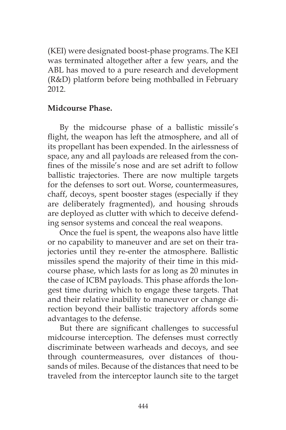(KEI) were designated boost-phase programs.The KEI was terminated altogether after a few years, and the ABL has moved to a pure research and development (R&D) platform before being mothballed in February 2012.

## **Midcourse Phase.**

By the midcourse phase of a ballistic missile's flight, the weapon has left the atmosphere, and all of its propellant has been expended. In the airlessness of space, any and all payloads are released from the confines of the missile's nose and are set adrift to follow ballistic trajectories. There are now multiple targets for the defenses to sort out. Worse, countermeasures, chaff, decoys, spent booster stages (especially if they are deliberately fragmented), and housing shrouds are deployed as clutter with which to deceive defending sensor systems and conceal the real weapons.

Once the fuel is spent, the weapons also have little or no capability to maneuver and are set on their trajectories until they re-enter the atmosphere. Ballistic missiles spend the majority of their time in this midcourse phase, which lasts for as long as 20 minutes in the case of ICBM payloads. This phase affords the longest time during which to engage these targets. That and their relative inability to maneuver or change direction beyond their ballistic trajectory affords some advantages to the defense.

But there are significant challenges to successful midcourse interception. The defenses must correctly discriminate between warheads and decoys, and see through countermeasures, over distances of thousands of miles. Because of the distances that need to be traveled from the interceptor launch site to the target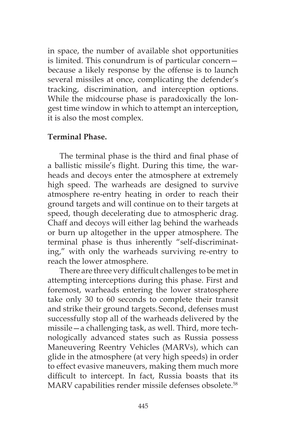in space, the number of available shot opportunities is limited. This conundrum is of particular concern because a likely response by the offense is to launch several missiles at once, complicating the defender's tracking, discrimination, and interception options. While the midcourse phase is paradoxically the longest time window in which to attempt an interception, it is also the most complex.

## **Terminal Phase.**

The terminal phase is the third and final phase of a ballistic missile's flight. During this time, the warheads and decoys enter the atmosphere at extremely high speed. The warheads are designed to survive atmosphere re-entry heating in order to reach their ground targets and will continue on to their targets at speed, though decelerating due to atmospheric drag. Chaff and decoys will either lag behind the warheads or burn up altogether in the upper atmosphere. The terminal phase is thus inherently "self-discriminating," with only the warheads surviving re-entry to reach the lower atmosphere.

There are three very difficult challenges to be met in attempting interceptions during this phase. First and foremost, warheads entering the lower stratosphere take only 30 to 60 seconds to complete their transit and strike their ground targets. Second, defenses must successfully stop all of the warheads delivered by the missile—a challenging task, as well. Third, more technologically advanced states such as Russia possess Maneuvering Reentry Vehicles (MARVs), which can glide in the atmosphere (at very high speeds) in order to effect evasive maneuvers, making them much more difficult to intercept. In fact, Russia boasts that its MARV capabilities render missile defenses obsolete.<sup>58</sup>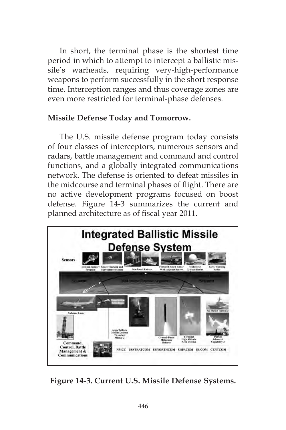In short, the terminal phase is the shortest time period in which to attempt to intercept a ballistic missile's warheads, requiring very-high-performance weapons to perform successfully in the short response time. Interception ranges and thus coverage zones are even more restricted for terminal-phase defenses.

# **Missile Defense Today and Tomorrow.**

The U.S. missile defense program today consists of four classes of interceptors, numerous sensors and radars, battle management and command and control functions, and a globally integrated communications network. The defense is oriented to defeat missiles in the midcourse and terminal phases of flight. There are no active development programs focused on boost defense. Figure 14-3 summarizes the current and planned architecture as of fiscal year 2011.



**Figure 14-3. Current U.S. Missile Defense Systems.**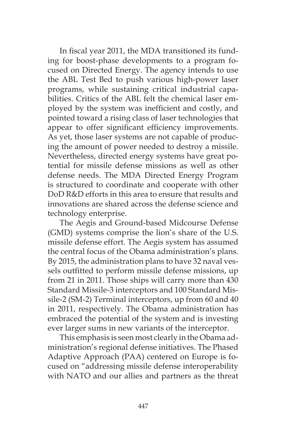In fiscal year 2011, the MDA transitioned its funding for boost-phase developments to a program focused on Directed Energy. The agency intends to use the ABL Test Bed to push various high-power laser programs, while sustaining critical industrial capabilities. Critics of the ABL felt the chemical laser employed by the system was inefficient and costly, and pointed toward a rising class of laser technologies that appear to offer significant efficiency improvements. As yet, those laser systems are not capable of producing the amount of power needed to destroy a missile. Nevertheless, directed energy systems have great potential for missile defense missions as well as other defense needs. The MDA Directed Energy Program is structured to coordinate and cooperate with other DoD R&D efforts in this area to ensure that results and innovations are shared across the defense science and technology enterprise.

The Aegis and Ground-based Midcourse Defense (GMD) systems comprise the lion's share of the U.S. missile defense effort. The Aegis system has assumed the central focus of the Obama administration's plans. By 2015, the administration plans to have 32 naval vessels outfitted to perform missile defense missions, up from 21 in 2011. Those ships will carry more than 430 Standard Missile-3 interceptors and 100 Standard Missile-2 (SM-2) Terminal interceptors, up from 60 and 40 in 2011, respectively. The Obama administration has embraced the potential of the system and is investing ever larger sums in new variants of the interceptor.

This emphasis is seen most clearly in the Obama administration's regional defense initiatives. The Phased Adaptive Approach (PAA) centered on Europe is focused on "addressing missile defense interoperability with NATO and our allies and partners as the threat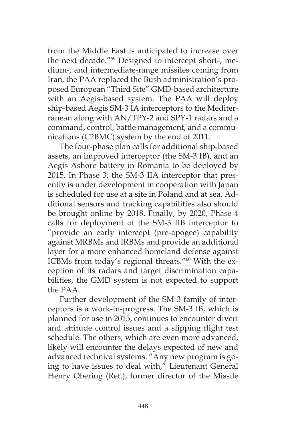from the Middle East is anticipated to increase over the next decade."59 Designed to intercept short-, medium-, and intermediate-range missiles coming from Iran, the PAA replaced the Bush administration's proposed European "Third Site" GMD-based architecture with an Aegis-based system. The PAA will deploy ship-based Aegis SM-3 IA interceptors to the Mediterranean along with AN/TPY-2 and SPY-1 radars and a command, control, battle management, and a communications (C2BMC) system by the end of 2011.

The four-phase plan calls for additional ship-based assets, an improved interceptor (the SM-3 IB), and an Aegis Ashore battery in Romania to be deployed by 2015. In Phase 3, the SM-3 IIA interceptor that presently is under development in cooperation with Japan is scheduled for use at a site in Poland and at sea. Additional sensors and tracking capabilities also should be brought online by 2018. Finally, by 2020, Phase 4 calls for deployment of the SM-3 IIB interceptor to "provide an early intercept (pre-apogee) capability against MRBMs and IRBMs and provide an additional layer for a more enhanced homeland defense against ICBMs from today's regional threats."<sup>60</sup> With the exception of its radars and target discrimination capabilities, the GMD system is not expected to support the PAA.

Further development of the SM-3 family of interceptors is a work-in-progress. The SM-3 IB, which is planned for use in 2015, continues to encounter divert and attitude control issues and a slipping flight test schedule. The others, which are even more advanced, likely will encounter the delays expected of new and advanced technical systems. "Any new program is going to have issues to deal with," Lieutenant General Henry Obering (Ret.), former director of the Missile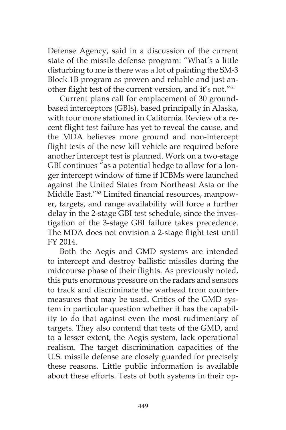Defense Agency, said in a discussion of the current state of the missile defense program: "What's a little disturbing to me is there was a lot of painting the SM-3 Block 1B program as proven and reliable and just another flight test of the current version, and it's not."61

Current plans call for emplacement of 30 groundbased interceptors (GBIs), based principally in Alaska, with four more stationed in California. Review of a recent flight test failure has yet to reveal the cause, and the MDA believes more ground and non-intercept flight tests of the new kill vehicle are required before another intercept test is planned. Work on a two-stage GBI continues "as a potential hedge to allow for a longer intercept window of time if ICBMs were launched against the United States from Northeast Asia or the Middle East."62 Limited financial resources, manpower, targets, and range availability will force a further delay in the 2-stage GBI test schedule, since the investigation of the 3-stage GBI failure takes precedence. The MDA does not envision a 2-stage flight test until FY 2014.

Both the Aegis and GMD systems are intended to intercept and destroy ballistic missiles during the midcourse phase of their flights. As previously noted, this puts enormous pressure on the radars and sensors to track and discriminate the warhead from countermeasures that may be used. Critics of the GMD system in particular question whether it has the capability to do that against even the most rudimentary of targets. They also contend that tests of the GMD, and to a lesser extent, the Aegis system, lack operational realism. The target discrimination capacities of the U.S. missile defense are closely guarded for precisely these reasons. Little public information is available about these efforts. Tests of both systems in their op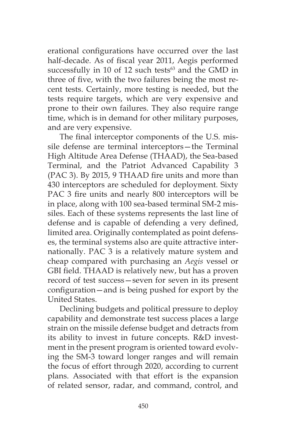erational configurations have occurred over the last half-decade. As of fiscal year 2011, Aegis performed successfully in 10 of 12 such tests $63$  and the GMD in three of five, with the two failures being the most recent tests. Certainly, more testing is needed, but the tests require targets, which are very expensive and prone to their own failures. They also require range time, which is in demand for other military purposes, and are very expensive.

The final interceptor components of the U.S. missile defense are terminal interceptors—the Terminal High Altitude Area Defense (THAAD), the Sea-based Terminal, and the Patriot Advanced Capability 3 (PAC 3). By 2015, 9 THAAD fire units and more than 430 interceptors are scheduled for deployment. Sixty PAC 3 fire units and nearly 800 interceptors will be in place, along with 100 sea-based terminal SM-2 missiles. Each of these systems represents the last line of defense and is capable of defending a very defined, limited area. Originally contemplated as point defenses, the terminal systems also are quite attractive internationally. PAC 3 is a relatively mature system and cheap compared with purchasing an *Aegis* vessel or GBI field. THAAD is relatively new, but has a proven record of test success—seven for seven in its present configuration—and is being pushed for export by the United States.

Declining budgets and political pressure to deploy capability and demonstrate test success places a large strain on the missile defense budget and detracts from its ability to invest in future concepts. R&D investment in the present program is oriented toward evolving the SM-3 toward longer ranges and will remain the focus of effort through 2020, according to current plans. Associated with that effort is the expansion of related sensor, radar, and command, control, and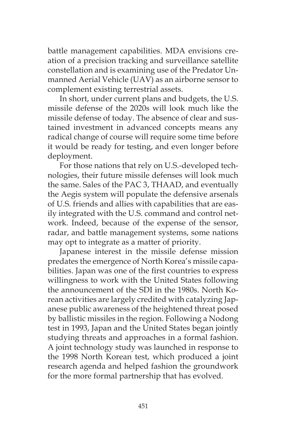battle management capabilities. MDA envisions creation of a precision tracking and surveillance satellite constellation and is examining use of the Predator Unmanned Aerial Vehicle (UAV) as an airborne sensor to complement existing terrestrial assets.

In short, under current plans and budgets, the U.S. missile defense of the 2020s will look much like the missile defense of today. The absence of clear and sustained investment in advanced concepts means any radical change of course will require some time before it would be ready for testing, and even longer before deployment.

For those nations that rely on U.S.-developed technologies, their future missile defenses will look much the same. Sales of the PAC 3, THAAD, and eventually the Aegis system will populate the defensive arsenals of U.S. friends and allies with capabilities that are easily integrated with the U.S. command and control network. Indeed, because of the expense of the sensor, radar, and battle management systems, some nations may opt to integrate as a matter of priority.

Japanese interest in the missile defense mission predates the emergence of North Korea's missile capabilities. Japan was one of the first countries to express willingness to work with the United States following the announcement of the SDI in the 1980s. North Korean activities are largely credited with catalyzing Japanese public awareness of the heightened threat posed by ballistic missiles in the region. Following a Nodong test in 1993, Japan and the United States began jointly studying threats and approaches in a formal fashion. A joint technology study was launched in response to the 1998 North Korean test, which produced a joint research agenda and helped fashion the groundwork for the more formal partnership that has evolved.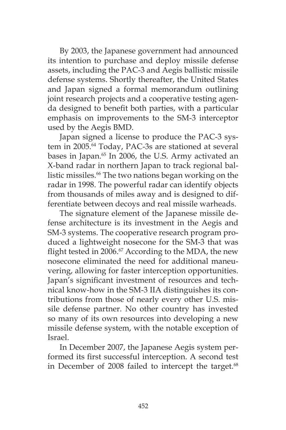By 2003, the Japanese government had announced its intention to purchase and deploy missile defense assets, including the PAC-3 and Aegis ballistic missile defense systems. Shortly thereafter, the United States and Japan signed a formal memorandum outlining joint research projects and a cooperative testing agenda designed to benefit both parties, with a particular emphasis on improvements to the SM-3 interceptor used by the Aegis BMD.

Japan signed a license to produce the PAC-3 system in 2005.<sup>64</sup> Today, PAC-3s are stationed at several bases in Japan.<sup>65</sup> In 2006, the U.S. Army activated an X-band radar in northern Japan to track regional ballistic missiles.<sup>66</sup> The two nations began working on the radar in 1998. The powerful radar can identify objects from thousands of miles away and is designed to differentiate between decoys and real missile warheads.

The signature element of the Japanese missile defense architecture is its investment in the Aegis and SM-3 systems. The cooperative research program produced a lightweight nosecone for the SM-3 that was flight tested in 2006. $67$  According to the MDA, the new nosecone eliminated the need for additional maneuvering, allowing for faster interception opportunities. Japan's significant investment of resources and technical know-how in the SM-3 IIA distinguishes its contributions from those of nearly every other U.S. missile defense partner. No other country has invested so many of its own resources into developing a new missile defense system, with the notable exception of Israel.

In December 2007, the Japanese Aegis system performed its first successful interception. A second test in December of 2008 failed to intercept the target.<sup>68</sup>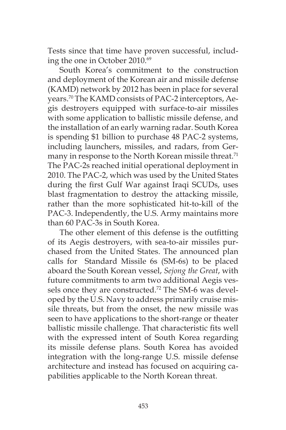Tests since that time have proven successful, including the one in October 2010.<sup>69</sup>

South Korea's commitment to the construction and deployment of the Korean air and missile defense (KAMD) network by 2012 has been in place for several years.70 The KAMD consists of PAC-2 interceptors, Aegis destroyers equipped with surface-to-air missiles with some application to ballistic missile defense, and the installation of an early warning radar. South Korea is spending \$1 billion to purchase 48 PAC-2 systems, including launchers, missiles, and radars, from Germany in response to the North Korean missile threat.<sup>71</sup> The PAC-2s reached initial operational deployment in 2010. The PAC-2, which was used by the United States during the first Gulf War against Iraqi SCUDs, uses blast fragmentation to destroy the attacking missile, rather than the more sophisticated hit-to-kill of the PAC-3. Independently, the U.S. Army maintains more than 60 PAC-3s in South Korea.

The other element of this defense is the outfitting of its Aegis destroyers, with sea-to-air missiles purchased from the United States. The announced plan calls for Standard Missile 6s (SM-6s) to be placed aboard the South Korean vessel, *Sejong the Great*, with future commitments to arm two additional Aegis vessels once they are constructed.<sup>72</sup> The SM-6 was developed by the U.S. Navy to address primarily cruise missile threats, but from the onset, the new missile was seen to have applications to the short-range or theater ballistic missile challenge. That characteristic fits well with the expressed intent of South Korea regarding its missile defense plans. South Korea has avoided integration with the long-range U.S. missile defense architecture and instead has focused on acquiring capabilities applicable to the North Korean threat.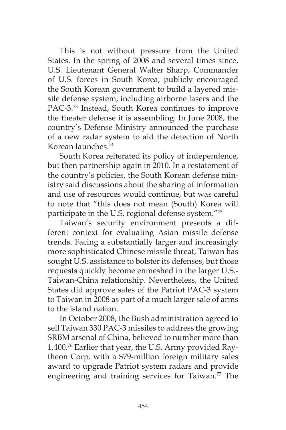This is not without pressure from the United States. In the spring of 2008 and several times since, U.S. Lieutenant General Walter Sharp, Commander of U.S. forces in South Korea, publicly encouraged the South Korean government to build a layered missile defense system, including airborne lasers and the PAC-3.<sup>73</sup> Instead, South Korea continues to improve the theater defense it is assembling. In June 2008, the country's Defense Ministry announced the purchase of a new radar system to aid the detection of North Korean launches.74

South Korea reiterated its policy of independence, but then partnership again in 2010. In a restatement of the country's policies, the South Korean defense ministry said discussions about the sharing of information and use of resources would continue, but was careful to note that "this does not mean (South) Korea will participate in the U.S. regional defense system."75

Taiwan's security environment presents a different context for evaluating Asian missile defense trends. Facing a substantially larger and increasingly more sophisticated Chinese missile threat, Taiwan has sought U.S. assistance to bolster its defenses, but those requests quickly become enmeshed in the larger U.S.- Taiwan-China relationship. Nevertheless, the United States did approve sales of the Patriot PAC-3 system to Taiwan in 2008 as part of a much larger sale of arms to the island nation.

In October 2008, the Bush administration agreed to sell Taiwan 330 PAC-3 missiles to address the growing SRBM arsenal of China, believed to number more than 1,400.76 Earlier that year, the U.S. Army provided Raytheon Corp. with a \$79-million foreign military sales award to upgrade Patriot system radars and provide engineering and training services for Taiwan.<sup>77</sup> The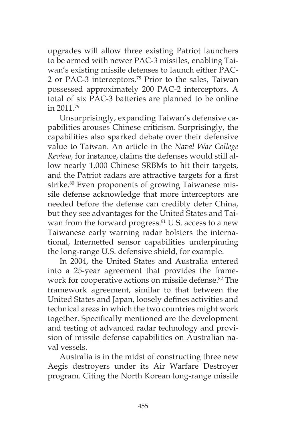upgrades will allow three existing Patriot launchers to be armed with newer PAC-3 missiles, enabling Taiwan's existing missile defenses to launch either PAC-2 or PAC-3 interceptors.78 Prior to the sales, Taiwan possessed approximately 200 PAC-2 interceptors. A total of six PAC-3 batteries are planned to be online in 2011.79

Unsurprisingly, expanding Taiwan's defensive capabilities arouses Chinese criticism. Surprisingly, the capabilities also sparked debate over their defensive value to Taiwan. An article in the *Naval War College Review,* for instance, claims the defenses would still allow nearly 1,000 Chinese SRBMs to hit their targets, and the Patriot radars are attractive targets for a first strike.<sup>80</sup> Even proponents of growing Taiwanese missile defense acknowledge that more interceptors are needed before the defense can credibly deter China, but they see advantages for the United States and Taiwan from the forward progress.<sup>81</sup> U.S. access to a new Taiwanese early warning radar bolsters the international, Internetted sensor capabilities underpinning the long-range U.S. defensive shield, for example.

In 2004, the United States and Australia entered into a 25-year agreement that provides the framework for cooperative actions on missile defense.<sup>82</sup> The framework agreement, similar to that between the United States and Japan, loosely defines activities and technical areas in which the two countries might work together. Specifically mentioned are the development and testing of advanced radar technology and provision of missile defense capabilities on Australian naval vessels.

Australia is in the midst of constructing three new Aegis destroyers under its Air Warfare Destroyer program. Citing the North Korean long-range missile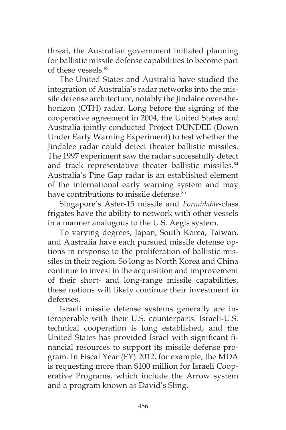threat, the Australian government initiated planning for ballistic missile defense capabilities to become part of these vessels.83

The United States and Australia have studied the integration of Australia's radar networks into the missile defense architecture, notably the Jindalee over-thehorizon (OTH) radar. Long before the signing of the cooperative agreement in 2004, the United States and Australia jointly conducted Project DUNDEE (Down Under Early Warning Experiment) to test whether the Jindalee radar could detect theater ballistic missiles. The 1997 experiment saw the radar successfully detect and track representative theater ballistic missiles.<sup>84</sup> Australia's Pine Gap radar is an established element of the international early warning system and may have contributions to missile defense.<sup>85</sup>

Singapore's Aster-15 missile and *Formidable*-class frigates have the ability to network with other vessels in a manner analogous to the U.S. Aegis system.

To varying degrees, Japan, South Korea, Taiwan, and Australia have each pursued missile defense options in response to the proliferation of ballistic missiles in their region. So long as North Korea and China continue to invest in the acquisition and improvement of their short- and long-range missile capabilities, these nations will likely continue their investment in defenses.

Israeli missile defense systems generally are interoperable with their U.S. counterparts. Israeli-U.S. technical cooperation is long established, and the United States has provided Israel with significant financial resources to support its missile defense program. In Fiscal Year (FY) 2012, for example, the MDA is requesting more than \$100 million for Israeli Cooperative Programs, which include the Arrow system and a program known as David's Sling.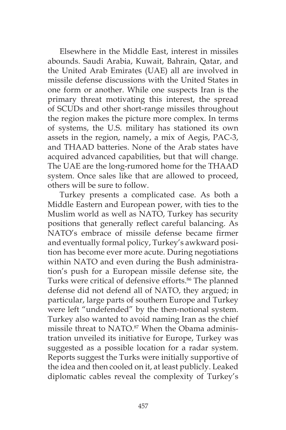Elsewhere in the Middle East, interest in missiles abounds. Saudi Arabia, Kuwait, Bahrain, Qatar, and the United Arab Emirates (UAE) all are involved in missile defense discussions with the United States in one form or another. While one suspects Iran is the primary threat motivating this interest, the spread of SCUDs and other short-range missiles throughout the region makes the picture more complex. In terms of systems, the U.S. military has stationed its own assets in the region, namely, a mix of Aegis, PAC-3, and THAAD batteries. None of the Arab states have acquired advanced capabilities, but that will change. The UAE are the long-rumored home for the THAAD system. Once sales like that are allowed to proceed, others will be sure to follow.

Turkey presents a complicated case. As both a Middle Eastern and European power, with ties to the Muslim world as well as NATO, Turkey has security positions that generally reflect careful balancing. As NATO's embrace of missile defense became firmer and eventually formal policy, Turkey's awkward position has become ever more acute. During negotiations within NATO and even during the Bush administration's push for a European missile defense site, the Turks were critical of defensive efforts.<sup>86</sup> The planned defense did not defend all of NATO, they argued; in particular, large parts of southern Europe and Turkey were left "undefended" by the then-notional system. Turkey also wanted to avoid naming Iran as the chief missile threat to NATO.<sup>87</sup> When the Obama administration unveiled its initiative for Europe, Turkey was suggested as a possible location for a radar system. Reports suggest the Turks were initially supportive of the idea and then cooled on it, at least publicly. Leaked diplomatic cables reveal the complexity of Turkey's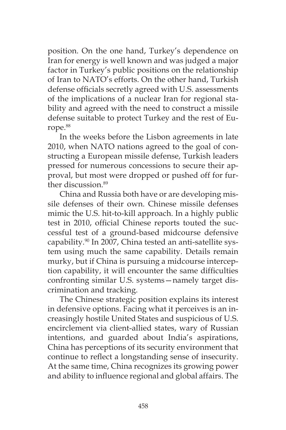position. On the one hand, Turkey's dependence on Iran for energy is well known and was judged a major factor in Turkey's public positions on the relationship of Iran to NATO's efforts. On the other hand, Turkish defense officials secretly agreed with U.S. assessments of the implications of a nuclear Iran for regional stability and agreed with the need to construct a missile defense suitable to protect Turkey and the rest of Europe.<sup>88</sup>

In the weeks before the Lisbon agreements in late 2010, when NATO nations agreed to the goal of constructing a European missile defense, Turkish leaders pressed for numerous concessions to secure their approval, but most were dropped or pushed off for further discussion  $89$ 

China and Russia both have or are developing missile defenses of their own. Chinese missile defenses mimic the U.S. hit-to-kill approach. In a highly public test in 2010, official Chinese reports touted the successful test of a ground-based midcourse defensive capability.90 In 2007, China tested an anti-satellite system using much the same capability. Details remain murky, but if China is pursuing a midcourse interception capability, it will encounter the same difficulties confronting similar U.S. systems—namely target discrimination and tracking.

The Chinese strategic position explains its interest in defensive options. Facing what it perceives is an increasingly hostile United States and suspicious of U.S. encirclement via client-allied states, wary of Russian intentions, and guarded about India's aspirations, China has perceptions of its security environment that continue to reflect a longstanding sense of insecurity. At the same time, China recognizes its growing power and ability to influence regional and global affairs. The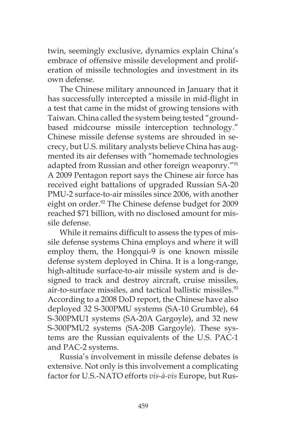twin, seemingly exclusive, dynamics explain China's embrace of offensive missile development and proliferation of missile technologies and investment in its own defense.

The Chinese military announced in January that it has successfully intercepted a missile in mid-flight in a test that came in the midst of growing tensions with Taiwan. China called the system being tested "groundbased midcourse missile interception technology." Chinese missile defense systems are shrouded in secrecy, but U.S. military analysts believe China has augmented its air defenses with "homemade technologies adapted from Russian and other foreign weaponry."<sup>91</sup> A 2009 Pentagon report says the Chinese air force has received eight battalions of upgraded Russian SA-20 PMU-2 surface-to-air missiles since 2006, with another eight on order.<sup>92</sup> The Chinese defense budget for 2009 reached \$71 billion, with no disclosed amount for missile defense.

While it remains difficult to assess the types of missile defense systems China employs and where it will employ them, the Hongqui-9 is one known missile defense system deployed in China. It is a long-range, high-altitude surface-to-air missile system and is designed to track and destroy aircraft, cruise missiles, air-to-surface missiles, and tactical ballistic missiles.<sup>93</sup> According to a 2008 DoD report, the Chinese have also deployed 32 S-300PMU systems (SA-10 Grumble), 64 S-300PMU1 systems (SA-20A Gargoyle), and 32 new S-300PMU2 systems (SA-20B Gargoyle). These systems are the Russian equivalents of the U.S. PAC-1 and PAC-2 systems.

Russia's involvement in missile defense debates is extensive. Not only is this involvement a complicating factor for U.S.-NATO efforts *vis-à-vis* Europe, but Rus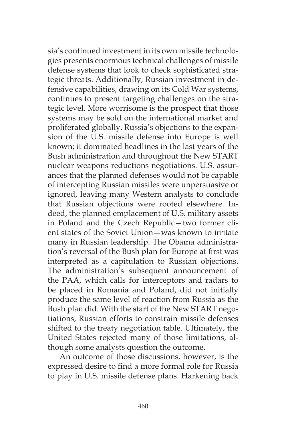sia's continued investment in its own missile technologies presents enormous technical challenges of missile defense systems that look to check sophisticated strategic threats. Additionally, Russian investment in defensive capabilities, drawing on its Cold War systems, continues to present targeting challenges on the strategic level. More worrisome is the prospect that those systems may be sold on the international market and proliferated globally. Russia's objections to the expansion of the U.S. missile defense into Europe is well known; it dominated headlines in the last years of the Bush administration and throughout the New START nuclear weapons reductions negotiations. U.S. assurances that the planned defenses would not be capable of intercepting Russian missiles were unpersuasive or ignored, leaving many Western analysts to conclude that Russian objections were rooted elsewhere. Indeed, the planned emplacement of U.S. military assets in Poland and the Czech Republic—two former client states of the Soviet Union—was known to irritate many in Russian leadership. The Obama administration's reversal of the Bush plan for Europe at first was interpreted as a capitulation to Russian objections. The administration's subsequent announcement of the PAA, which calls for interceptors and radars to be placed in Romania and Poland, did not initially produce the same level of reaction from Russia as the Bush plan did. With the start of the New START negotiations, Russian efforts to constrain missile defenses shifted to the treaty negotiation table. Ultimately, the United States rejected many of those limitations, although some analysts question the outcome.

An outcome of those discussions, however, is the expressed desire to find a more formal role for Russia to play in U.S. missile defense plans. Harkening back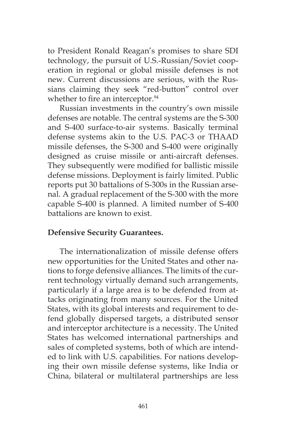to President Ronald Reagan's promises to share SDI technology, the pursuit of U.S.-Russian/Soviet cooperation in regional or global missile defenses is not new. Current discussions are serious, with the Russians claiming they seek "red-button" control over whether to fire an interceptor.<sup>94</sup>

Russian investments in the country's own missile defenses are notable. The central systems are the S-300 and S-400 surface-to-air systems. Basically terminal defense systems akin to the U.S. PAC-3 or THAAD missile defenses, the S-300 and S-400 were originally designed as cruise missile or anti-aircraft defenses. They subsequently were modified for ballistic missile defense missions. Deployment is fairly limited. Public reports put 30 battalions of S-300s in the Russian arsenal. A gradual replacement of the S-300 with the more capable S-400 is planned. A limited number of S-400 battalions are known to exist.

### **Defensive Security Guarantees.**

The internationalization of missile defense offers new opportunities for the United States and other nations to forge defensive alliances. The limits of the current technology virtually demand such arrangements, particularly if a large area is to be defended from attacks originating from many sources. For the United States, with its global interests and requirement to defend globally dispersed targets, a distributed sensor and interceptor architecture is a necessity. The United States has welcomed international partnerships and sales of completed systems, both of which are intended to link with U.S. capabilities. For nations developing their own missile defense systems, like India or China, bilateral or multilateral partnerships are less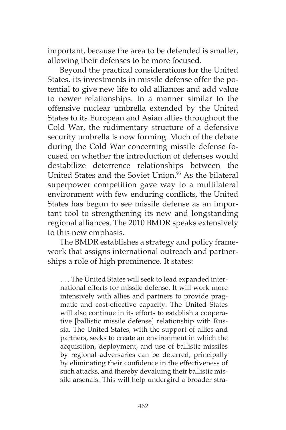important, because the area to be defended is smaller, allowing their defenses to be more focused.

Beyond the practical considerations for the United States, its investments in missile defense offer the potential to give new life to old alliances and add value to newer relationships. In a manner similar to the offensive nuclear umbrella extended by the United States to its European and Asian allies throughout the Cold War, the rudimentary structure of a defensive security umbrella is now forming. Much of the debate during the Cold War concerning missile defense focused on whether the introduction of defenses would destabilize deterrence relationships between the United States and the Soviet Union.<sup>95</sup> As the bilateral superpower competition gave way to a multilateral environment with few enduring conflicts, the United States has begun to see missile defense as an important tool to strengthening its new and longstanding regional alliances. The 2010 BMDR speaks extensively to this new emphasis.

The BMDR establishes a strategy and policy framework that assigns international outreach and partnerships a role of high prominence. It states:

. . . The United States will seek to lead expanded international efforts for missile defense. It will work more intensively with allies and partners to provide pragmatic and cost-effective capacity. The United States will also continue in its efforts to establish a cooperative [ballistic missile defense] relationship with Russia. The United States, with the support of allies and partners, seeks to create an environment in which the acquisition, deployment, and use of ballistic missiles by regional adversaries can be deterred, principally by eliminating their confidence in the effectiveness of such attacks, and thereby devaluing their ballistic missile arsenals. This will help undergird a broader stra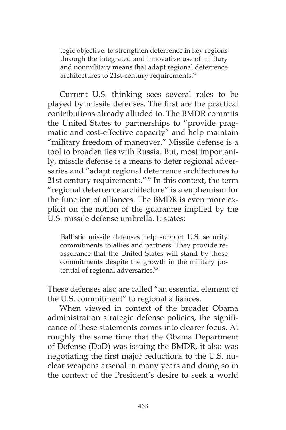tegic objective: to strengthen deterrence in key regions through the integrated and innovative use of military and nonmilitary means that adapt regional deterrence architectures to 21st-century requirements.<sup>96</sup>

Current U.S. thinking sees several roles to be played by missile defenses. The first are the practical contributions already alluded to. The BMDR commits the United States to partnerships to "provide pragmatic and cost-effective capacity" and help maintain "military freedom of maneuver." Missile defense is a tool to broaden ties with Russia. But, most importantly, missile defense is a means to deter regional adversaries and "adapt regional deterrence architectures to 21st century requirements."<sup>97</sup> In this context, the term "regional deterrence architecture" is a euphemism for the function of alliances. The BMDR is even more explicit on the notion of the guarantee implied by the U.S. missile defense umbrella. It states:

Ballistic missile defenses help support U.S. security commitments to allies and partners. They provide reassurance that the United States will stand by those commitments despite the growth in the military potential of regional adversaries.<sup>98</sup>

These defenses also are called "an essential element of the U.S. commitment" to regional alliances.

When viewed in context of the broader Obama administration strategic defense policies, the significance of these statements comes into clearer focus. At roughly the same time that the Obama Department of Defense (DoD) was issuing the BMDR, it also was negotiating the first major reductions to the U.S. nuclear weapons arsenal in many years and doing so in the context of the President's desire to seek a world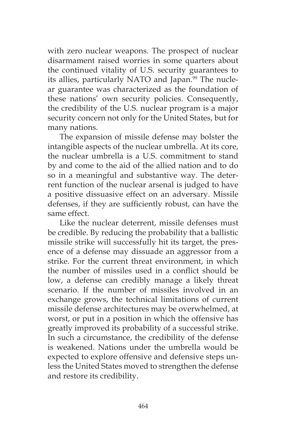with zero nuclear weapons. The prospect of nuclear disarmament raised worries in some quarters about the continued vitality of U.S. security guarantees to its allies, particularly NATO and Japan.<sup>99</sup> The nuclear guarantee was characterized as the foundation of these nations' own security policies. Consequently, the credibility of the U.S. nuclear program is a major security concern not only for the United States, but for many nations.

The expansion of missile defense may bolster the intangible aspects of the nuclear umbrella. At its core, the nuclear umbrella is a U.S. commitment to stand by and come to the aid of the allied nation and to do so in a meaningful and substantive way. The deterrent function of the nuclear arsenal is judged to have a positive dissuasive effect on an adversary. Missile defenses, if they are sufficiently robust, can have the same effect.

Like the nuclear deterrent, missile defenses must be credible. By reducing the probability that a ballistic missile strike will successfully hit its target, the presence of a defense may dissuade an aggressor from a strike. For the current threat environment, in which the number of missiles used in a conflict should be low, a defense can credibly manage a likely threat scenario. If the number of missiles involved in an exchange grows, the technical limitations of current missile defense architectures may be overwhelmed, at worst, or put in a position in which the offensive has greatly improved its probability of a successful strike. In such a circumstance, the credibility of the defense is weakened. Nations under the umbrella would be expected to explore offensive and defensive steps unless the United States moved to strengthen the defense and restore its credibility.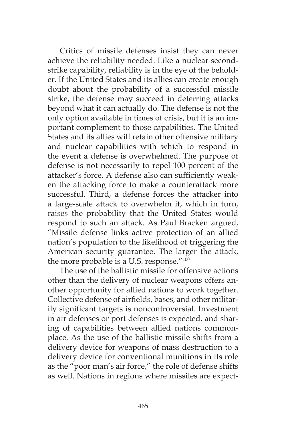Critics of missile defenses insist they can never achieve the reliability needed. Like a nuclear secondstrike capability, reliability is in the eye of the beholder. If the United States and its allies can create enough doubt about the probability of a successful missile strike, the defense may succeed in deterring attacks beyond what it can actually do. The defense is not the only option available in times of crisis, but it is an important complement to those capabilities. The United States and its allies will retain other offensive military and nuclear capabilities with which to respond in the event a defense is overwhelmed. The purpose of defense is not necessarily to repel 100 percent of the attacker's force. A defense also can sufficiently weaken the attacking force to make a counterattack more successful. Third, a defense forces the attacker into a large-scale attack to overwhelm it, which in turn, raises the probability that the United States would respond to such an attack. As Paul Bracken argued, "Missile defense links active protection of an allied nation's population to the likelihood of triggering the American security guarantee. The larger the attack, the more probable is a U.S. response."<sup>100</sup>

The use of the ballistic missile for offensive actions other than the delivery of nuclear weapons offers another opportunity for allied nations to work together. Collective defense of airfields, bases, and other militarily significant targets is noncontroversial. Investment in air defenses or port defenses is expected, and sharing of capabilities between allied nations commonplace. As the use of the ballistic missile shifts from a delivery device for weapons of mass destruction to a delivery device for conventional munitions in its role as the "poor man's air force," the role of defense shifts as well. Nations in regions where missiles are expect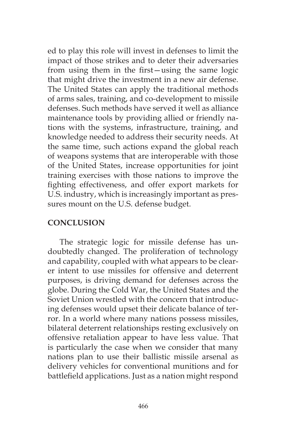ed to play this role will invest in defenses to limit the impact of those strikes and to deter their adversaries from using them in the first—using the same logic that might drive the investment in a new air defense. The United States can apply the traditional methods of arms sales, training, and co-development to missile defenses. Such methods have served it well as alliance maintenance tools by providing allied or friendly nations with the systems, infrastructure, training, and knowledge needed to address their security needs. At the same time, such actions expand the global reach of weapons systems that are interoperable with those of the United States, increase opportunities for joint training exercises with those nations to improve the fighting effectiveness, and offer export markets for U.S. industry, which is increasingly important as pressures mount on the U.S. defense budget.

# **CONCLUSION**

The strategic logic for missile defense has undoubtedly changed. The proliferation of technology and capability, coupled with what appears to be clearer intent to use missiles for offensive and deterrent purposes, is driving demand for defenses across the globe. During the Cold War, the United States and the Soviet Union wrestled with the concern that introducing defenses would upset their delicate balance of terror. In a world where many nations possess missiles, bilateral deterrent relationships resting exclusively on offensive retaliation appear to have less value. That is particularly the case when we consider that many nations plan to use their ballistic missile arsenal as delivery vehicles for conventional munitions and for battlefield applications. Just as a nation might respond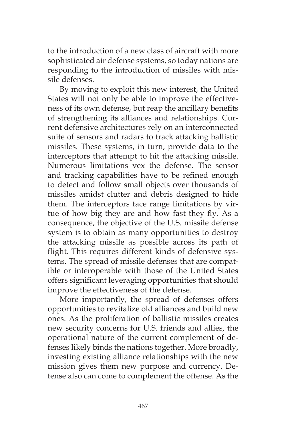to the introduction of a new class of aircraft with more sophisticated air defense systems, so today nations are responding to the introduction of missiles with missile defenses.

By moving to exploit this new interest, the United States will not only be able to improve the effectiveness of its own defense, but reap the ancillary benefits of strengthening its alliances and relationships. Current defensive architectures rely on an interconnected suite of sensors and radars to track attacking ballistic missiles. These systems, in turn, provide data to the interceptors that attempt to hit the attacking missile. Numerous limitations vex the defense. The sensor and tracking capabilities have to be refined enough to detect and follow small objects over thousands of missiles amidst clutter and debris designed to hide them. The interceptors face range limitations by virtue of how big they are and how fast they fly. As a consequence, the objective of the U.S. missile defense system is to obtain as many opportunities to destroy the attacking missile as possible across its path of flight. This requires different kinds of defensive systems. The spread of missile defenses that are compatible or interoperable with those of the United States offers significant leveraging opportunities that should improve the effectiveness of the defense.

More importantly, the spread of defenses offers opportunities to revitalize old alliances and build new ones. As the proliferation of ballistic missiles creates new security concerns for U.S. friends and allies, the operational nature of the current complement of defenses likely binds the nations together. More broadly, investing existing alliance relationships with the new mission gives them new purpose and currency. Defense also can come to complement the offense. As the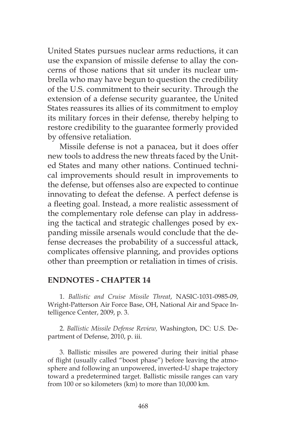United States pursues nuclear arms reductions, it can use the expansion of missile defense to allay the concerns of those nations that sit under its nuclear umbrella who may have begun to question the credibility of the U.S. commitment to their security. Through the extension of a defense security guarantee, the United States reassures its allies of its commitment to employ its military forces in their defense, thereby helping to restore credibility to the guarantee formerly provided by offensive retaliation.

Missile defense is not a panacea, but it does offer new tools to address the new threats faced by the United States and many other nations. Continued technical improvements should result in improvements to the defense, but offenses also are expected to continue innovating to defeat the defense. A perfect defense is a fleeting goal. Instead, a more realistic assessment of the complementary role defense can play in addressing the tactical and strategic challenges posed by expanding missile arsenals would conclude that the defense decreases the probability of a successful attack, complicates offensive planning, and provides options other than preemption or retaliation in times of crisis.

#### **ENDNOTES - CHAPTER 14**

1. *Ballistic and Cruise Missile Threat*, NASIC-1031-0985-09, Wright-Patterson Air Force Base, OH, National Air and Space Intelligence Center, 2009, p. 3.

2. *Ballistic Missile Defense Review,* Washington, DC: U.S. Department of Defense, 2010, p. iii.

3. Ballistic missiles are powered during their initial phase of flight (usually called "boost phase") before leaving the atmosphere and following an unpowered, inverted-U shape trajectory toward a predetermined target. Ballistic missile ranges can vary from 100 or so kilometers (km) to more than 10,000 km.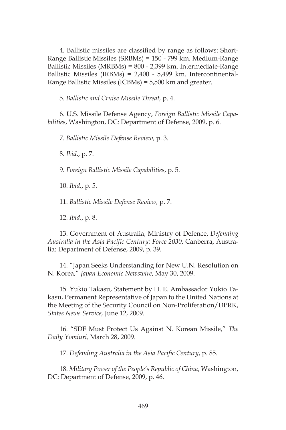4. Ballistic missiles are classified by range as follows: Short-Range Ballistic Missiles (SRBMs) = 150 - 799 km. Medium-Range Ballistic Missiles (MRBMs) = 800 - 2,399 km. Intermediate-Range Ballistic Missiles (IRBMs) = 2,400 - 5,499 km. Intercontinental-Range Ballistic Missiles (ICBMs) = 5,500 km and greater.

5. *Ballistic and Cruise Missile Threat,* p. 4.

6. U.S. Missile Defense Agency, *Foreign Ballistic Missile Capabilities*, Washington, DC: Department of Defense, 2009, p. 6.

7. *Ballistic Missile Defense Review,* p. 3.

8. *Ibid*., p. 7.

9. *Foreign Ballistic Missile Capabilities*, p. 5.

10. *Ibid*., p. 5.

11. *Ballistic Missile Defense Review,* p. 7.

12. *Ibid*., p. 8.

13. Government of Australia, Ministry of Defence, *Defending Australia in the Asia Pacific Century: Force 2030*, Canberra, Australia: Department of Defense, 2009, p. 39.

14. "Japan Seeks Understanding for New U.N. Resolution on N. Korea," *Japan Economic Newswire*, May 30, 2009.

15. Yukio Takasu, Statement by H. E. Ambassador Yukio Takasu, Permanent Representative of Japan to the United Nations at the Meeting of the Security Council on Non-Proliferation/DPRK, *States News Service,* June 12, 2009.

16. "SDF Must Protect Us Against N. Korean Missile," *The Daily Yomiuri,* March 28, 2009.

17. *Defending Australia in the Asia Pacific Century*, p. 85.

18. *Military Power of the People's Republic of China*, Washington, DC: Department of Defense, 2009, p. 46.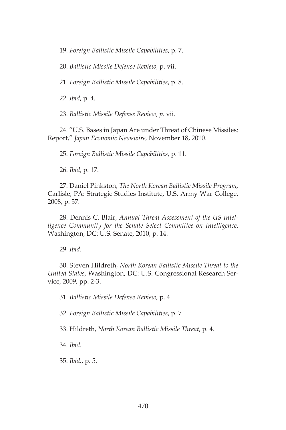19. *Foreign Ballistic Missile Capabilities*, p. 7.

20. *Ballistic Missile Defense Review*, p. vii.

21. *Foreign Ballistic Missile Capabilities*, p. 8.

22. *Ibid*, p. 4.

23. *Ballistic Missile Defense Review, p.* vii.

24. "U.S. Bases in Japan Are under Threat of Chinese Missiles: Report," *Japan Economic Newswire,* November 18, 2010.

25. *Foreign Ballistic Missile Capabilities*, p. 11.

26. *Ibid*, p. 17.

27. Daniel Pinkston, *The North Korean Ballistic Missile Program,*  Carlisle, PA: Strategic Studies Institute, U.S. Army War College, 2008, p. 57.

28. Dennis C. Blair, *Annual Threat Assessment of the US Intelligence Community for the Senate Select Committee on Intelligence*, Washington, DC: U.S. Senate, 2010, p. 14.

29. *Ibid*.

30. Steven Hildreth, *North Korean Ballistic Missile Threat to the United States*, Washington, DC: U.S. Congressional Research Service, 2009, pp. 2-3.

31. *Ballistic Missile Defense Review,* p. 4.

32. *Foreign Ballistic Missile Capabilities*, p. 7

33. Hildreth, *North Korean Ballistic Missile Threat*, p. 4.

34. *Ibid*.

35. *Ibid*., p. 5.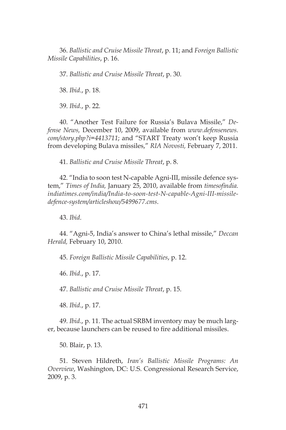36. *Ballistic and Cruise Missile Threat*, p. 11; and *Foreign Ballistic Missile Capabilities*, p. 16.

37. *Ballistic and Cruise Missile Threat*, p. 30.

38. *Ibid*., p. 18.

39. *Ibid*., p. 22.

40. "Another Test Failure for Russia's Bulava Missile," *Defense News,* December 10, 2009, available from *www.defensenews. com/story.php?i=4413711*; and "START Treaty won't keep Russia from developing Bulava missiles," *RIA Novosti,* February 7, 2011.

41. *Ballistic and Cruise Missile Threat*, p. 8.

42. "India to soon test N-capable Agni-III, missile defence system," *Times of India,* January 25, 2010, available from *timesofindia. indiatimes.com/india/India-to-soon-test-N-capable-Agni-III-missiledefence-system/articleshow/5499677.cms*.

43. *Ibid*.

44. "Agni-5, India's answer to China's lethal missile," *Deccan Herald,* February 10, 2010.

45. *Foreign Ballistic Missile Capabilities*, p. 12.

46. *Ibid*., p. 17.

47. *Ballistic and Cruise Missile Threat*, p. 15.

48. *Ibid*., p. 17.

49. *Ibid*., p. 11. The actual SRBM inventory may be much larger, because launchers can be reused to fire additional missiles.

50. Blair, p. 13.

51. Steven Hildreth, *Iran's Ballistic Missile Programs: An Overview*, Washington, DC: U.S. Congressional Research Service, 2009, p. 3.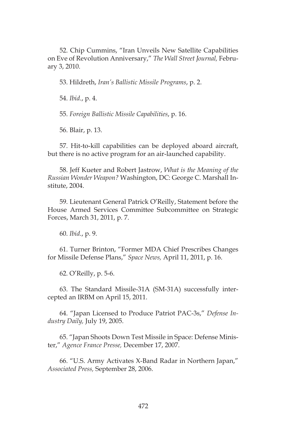52. Chip Cummins, "Iran Unveils New Satellite Capabilities on Eve of Revolution Anniversary," *The Wall Street Journal,* February 3, 2010.

53. Hildreth, *Iran's Ballistic Missile Programs*, p. 2.

54. *Ibid*., p. 4.

55. *Foreign Ballistic Missile Capabilities*, p. 16.

56. Blair, p. 13.

57. Hit-to-kill capabilities can be deployed aboard aircraft, but there is no active program for an air-launched capability.

58. Jeff Kueter and Robert Jastrow, *What is the Meaning of the Russian Wonder Weapon?* Washington, DC: George C. Marshall Institute, 2004.

59. Lieutenant General Patrick O'Reilly, Statement before the House Armed Services Committee Subcommittee on Strategic Forces, March 31, 2011, p. 7.

60. *Ibid*., p. 9.

61. Turner Brinton, "Former MDA Chief Prescribes Changes for Missile Defense Plans," *Space News,* April 11, 2011, p. 16.

62. O'Reilly, p. 5-6.

63. The Standard Missile-31A (SM-31A) successfully intercepted an IRBM on April 15, 2011.

64. "Japan Licensed to Produce Patriot PAC-3s," *Defense Industry Daily,* July 19, 2005.

65. "Japan Shoots Down Test Missile in Space: Defense Minister," *Agence France Presse,* December 17, 2007.

66. "U.S. Army Activates X-Band Radar in Northern Japan," *Associated Press,* September 28, 2006.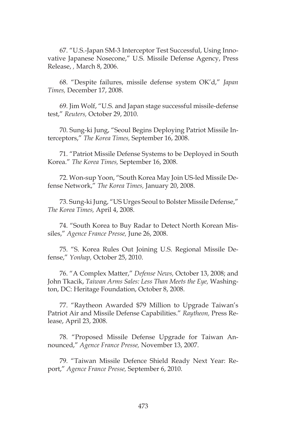67. "U.S.-Japan SM-3 Interceptor Test Successful, Using Innovative Japanese Nosecone," U.S. Missile Defense Agency, Press Release, *,* March 8, 2006.

68. "Despite failures, missile defense system OK'd," *Japan Times,* December 17, 2008.

69. Jim Wolf, "U.S. and Japan stage successful missile-defense test," *Reuters,* October 29, 2010.

70. Sung-ki Jung, "Seoul Begins Deploying Patriot Missile Interceptors," *The Korea Times,* September 16, 2008.

71. "Patriot Missile Defense Systems to be Deployed in South Korea." *The Korea Times,* September 16, 2008.

72. Won-sup Yoon, "South Korea May Join US-led Missile Defense Network," *The Korea Times,* January 20, 2008.

73. Sung-ki Jung, "US Urges Seoul to Bolster Missile Defense," *The Korea Times,* April 4, 2008.

74. "South Korea to Buy Radar to Detect North Korean Missiles," *Agence France Presse,* June 26, 2008.

75. "S. Korea Rules Out Joining U.S. Regional Missile Defense," *Yonhap,* October 25, 2010.

76. "A Complex Matter," *Defense News,* October 13, 2008; and John Tkacik, *Taiwan Arms Sales: Less Than Meets the Eye,* Washington, DC: Heritage Foundation, October 8, 2008.

77. "Raytheon Awarded \$79 Million to Upgrade Taiwan's Patriot Air and Missile Defense Capabilities." *Raytheon,* Press Release, April 23, 2008.

78. "Proposed Missile Defense Upgrade for Taiwan Announced," *Agence France Presse,* November 13, 2007.

79. "Taiwan Missile Defence Shield Ready Next Year: Report," *Agence France Presse,* September 6, 2010.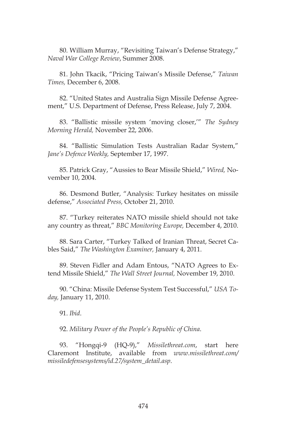80. William Murray, "Revisiting Taiwan's Defense Strategy," *Naval War College Review*, Summer 2008.

81. John Tkacik, "Pricing Taiwan's Missile Defense," *Taiwan Times,* December 6, 2008.

82. "United States and Australia Sign Missile Defense Agreement," U.S. Department of Defense, Press Release, July 7, 2004.

83. "Ballistic missile system 'moving closer,'" *The Sydney Morning Herald,* November 22, 2006.

84. "Ballistic Simulation Tests Australian Radar System," *Jane's Defence Weekly,* September 17, 1997.

85. Patrick Gray, "Aussies to Bear Missile Shield," *Wired,* November 10, 2004.

86. Desmond Butler, "Analysis: Turkey hesitates on missile defense," *Associated Press,* October 21, 2010.

87. "Turkey reiterates NATO missile shield should not take any country as threat," *BBC Monitoring Europe,* December 4, 2010.

88. Sara Carter, "Turkey Talked of Iranian Threat, Secret Cables Said," *The Washington Examiner,* January 4, 2011.

89. Steven Fidler and Adam Entous, "NATO Agrees to Extend Missile Shield," *The Wall Street Journal,* November 19, 2010.

90. "China: Missile Defense System Test Successful," *USA Today,* January 11, 2010.

91. *Ibid*.

92. *Military Power of the People's Republic of China*.

93. "Hongqi-9 (HQ-9)," *Missilethreat.com*, start here Claremont Institute, available from *www.missilethreat.com/ missiledefensesystems/id.27/system\_detail.asp*.